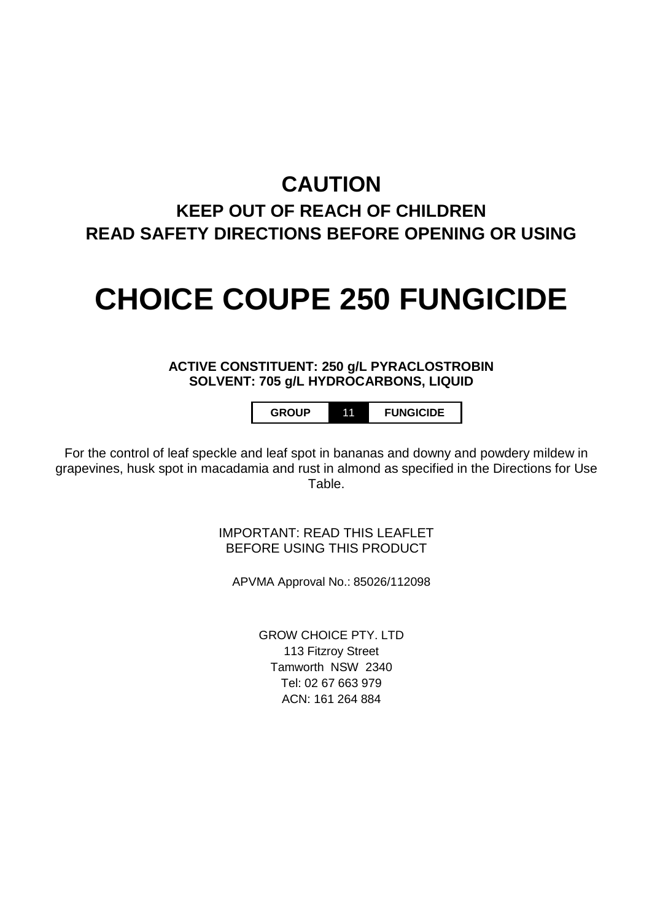# **CAUTION**

# **KEEP OUT OF REACH OF CHILDREN READ SAFETY DIRECTIONS BEFORE OPENING OR USING**

# **CHOICE COUPE 250 FUNGICIDE**

# **ACTIVE CONSTITUENT: 250 g/L PYRACLOSTROBIN SOLVENT: 705 g/L HYDROCARBONS, LIQUID**

**GROUP** 11 **FUNGICIDE**

For the control of leaf speckle and leaf spot in bananas and downy and powdery mildew in grapevines, husk spot in macadamia and rust in almond as specified in the Directions for Use Table.

> IMPORTANT: READ THIS LEAFLET BEFORE USING THIS PRODUCT

APVMA Approval No.: 85026/112098

GROW CHOICE PTY. LTD 113 Fitzroy Street Tamworth NSW 2340 Tel: 02 67 663 979 ACN: 161 264 884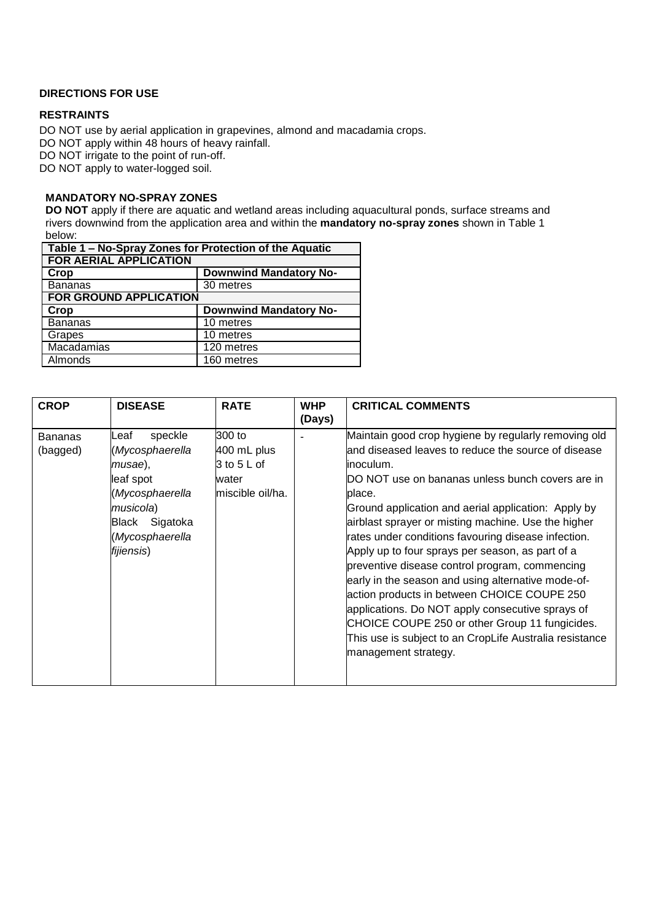# **DIRECTIONS FOR USE**

# **RESTRAINTS**

DO NOT use by aerial application in grapevines, almond and macadamia crops. DO NOT apply within 48 hours of heavy rainfall. DO NOT irrigate to the point of run-off.

DO NOT apply to water-logged soil.

#### **MANDATORY NO-SPRAY ZONES**

**DO NOT** apply if there are aquatic and wetland areas including aquacultural ponds, surface streams and rivers downwind from the application area and within the **mandatory no-spray zones** shown in Table 1 below:

| Table 1 - No-Spray Zones for Protection of the Aquatic |                               |  |  |  |
|--------------------------------------------------------|-------------------------------|--|--|--|
| <b>FOR AERIAL APPLICATION</b>                          |                               |  |  |  |
| Crop                                                   | <b>Downwind Mandatory No-</b> |  |  |  |
| Bananas                                                | 30 metres                     |  |  |  |
| <b>FOR GROUND APPLICATION</b>                          |                               |  |  |  |
| Crop                                                   | <b>Downwind Mandatory No-</b> |  |  |  |
| <b>Bananas</b>                                         | 10 metres                     |  |  |  |
| Grapes                                                 | 10 metres                     |  |  |  |
| Macadamias                                             | 120 metres                    |  |  |  |
| Almonds                                                | 160 metres                    |  |  |  |

| <b>CROP</b>                | <b>DISEASE</b>                                                                                                                                   | <b>RATE</b>                                                       | <b>WHP</b><br>(Days) | <b>CRITICAL COMMENTS</b>                                                                                                                                                                                                                                                                                                                                                                                                                                                                                                                                                                                                                                                                                                                                         |
|----------------------------|--------------------------------------------------------------------------------------------------------------------------------------------------|-------------------------------------------------------------------|----------------------|------------------------------------------------------------------------------------------------------------------------------------------------------------------------------------------------------------------------------------------------------------------------------------------------------------------------------------------------------------------------------------------------------------------------------------------------------------------------------------------------------------------------------------------------------------------------------------------------------------------------------------------------------------------------------------------------------------------------------------------------------------------|
| <b>Bananas</b><br>(bagged) | speckle<br>_eaf<br>(Mycosphaerella<br>musae),<br>leaf spot<br>(Mycosphaerella<br>musicola)<br>Sigatoka<br>Black<br>(Mycosphaerella<br>fijiensis) | 300 to<br>400 mL plus<br>3 to 5 L of<br>water<br>miscible oil/ha. |                      | Maintain good crop hygiene by regularly removing old<br>and diseased leaves to reduce the source of disease<br>linoculum.<br>DO NOT use on bananas unless bunch covers are in<br>place.<br>Ground application and aerial application: Apply by<br>airblast sprayer or misting machine. Use the higher<br>rates under conditions favouring disease infection.<br>Apply up to four sprays per season, as part of a<br>preventive disease control program, commencing<br>early in the season and using alternative mode-of-<br>action products in between CHOICE COUPE 250<br>applications. Do NOT apply consecutive sprays of<br>CHOICE COUPE 250 or other Group 11 fungicides.<br>This use is subject to an CropLife Australia resistance<br>management strategy. |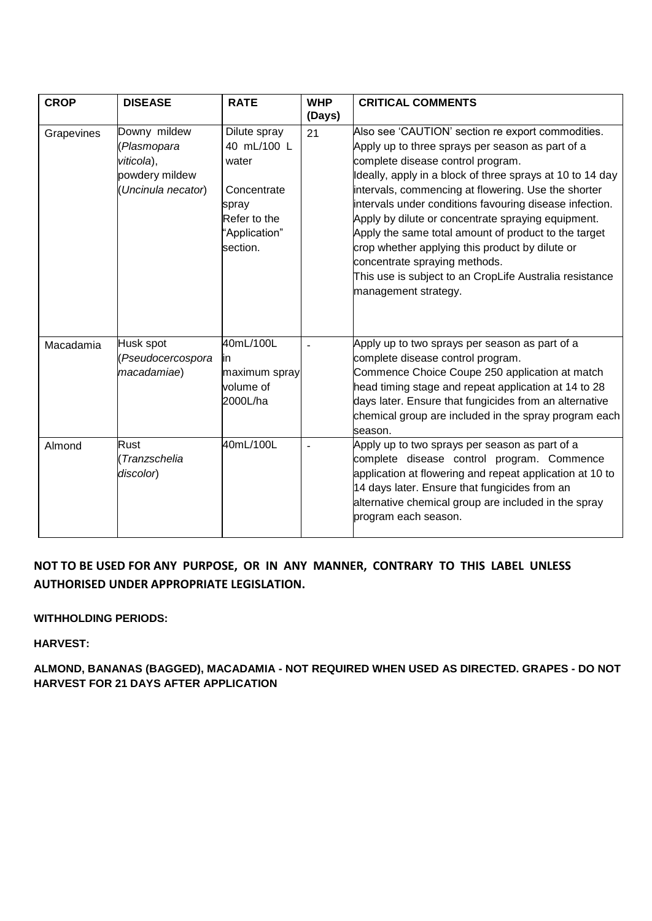| <b>CROP</b> | <b>DISEASE</b>                                                                   | <b>RATE</b>                                                                                               | <b>WHP</b><br>(Days) | <b>CRITICAL COMMENTS</b>                                                                                                                                                                                                                                                                                                                                                                                                                                                                                                                                                                                       |
|-------------|----------------------------------------------------------------------------------|-----------------------------------------------------------------------------------------------------------|----------------------|----------------------------------------------------------------------------------------------------------------------------------------------------------------------------------------------------------------------------------------------------------------------------------------------------------------------------------------------------------------------------------------------------------------------------------------------------------------------------------------------------------------------------------------------------------------------------------------------------------------|
| Grapevines  | Downy mildew<br>(Plasmopara<br>viticola),<br>powdery mildew<br>Uncinula necator) | Dilute spray<br>40 mL/100 L<br>water<br>Concentrate<br>spray<br>Refer to the<br>"Application"<br>section. | 21                   | Also see 'CAUTION' section re export commodities.<br>Apply up to three sprays per season as part of a<br>complete disease control program.<br>Ideally, apply in a block of three sprays at 10 to 14 day<br>intervals, commencing at flowering. Use the shorter<br>intervals under conditions favouring disease infection.<br>Apply by dilute or concentrate spraying equipment.<br>Apply the same total amount of product to the target<br>crop whether applying this product by dilute or<br>concentrate spraying methods.<br>This use is subject to an CropLife Australia resistance<br>management strategy. |
| Macadamia   | Husk spot<br>(Pseudocercospora<br>macadamiae)                                    | 40mL/100L<br>lin<br>maximum spray<br>volume of<br>2000L/ha                                                |                      | Apply up to two sprays per season as part of a<br>complete disease control program.<br>Commence Choice Coupe 250 application at match<br>head timing stage and repeat application at 14 to 28<br>days later. Ensure that fungicides from an alternative<br>chemical group are included in the spray program each<br>season.                                                                                                                                                                                                                                                                                    |
| Almond      | Rust<br>Tranzschelia<br>discolor)                                                | 40mL/100L                                                                                                 |                      | Apply up to two sprays per season as part of a<br>complete disease control program. Commence<br>application at flowering and repeat application at 10 to<br>14 days later. Ensure that fungicides from an<br>alternative chemical group are included in the spray<br>program each season.                                                                                                                                                                                                                                                                                                                      |

# **NOT TO BE USED FOR ANY PURPOSE, OR IN ANY MANNER, CONTRARY TO THIS LABEL UNLESS AUTHORISED UNDER APPROPRIATE LEGISLATION.**

# **WITHHOLDING PERIODS:**

**HARVEST:**

**ALMOND, BANANAS (BAGGED), MACADAMIA - NOT REQUIRED WHEN USED AS DIRECTED. GRAPES - DO NOT HARVEST FOR 21 DAYS AFTER APPLICATION**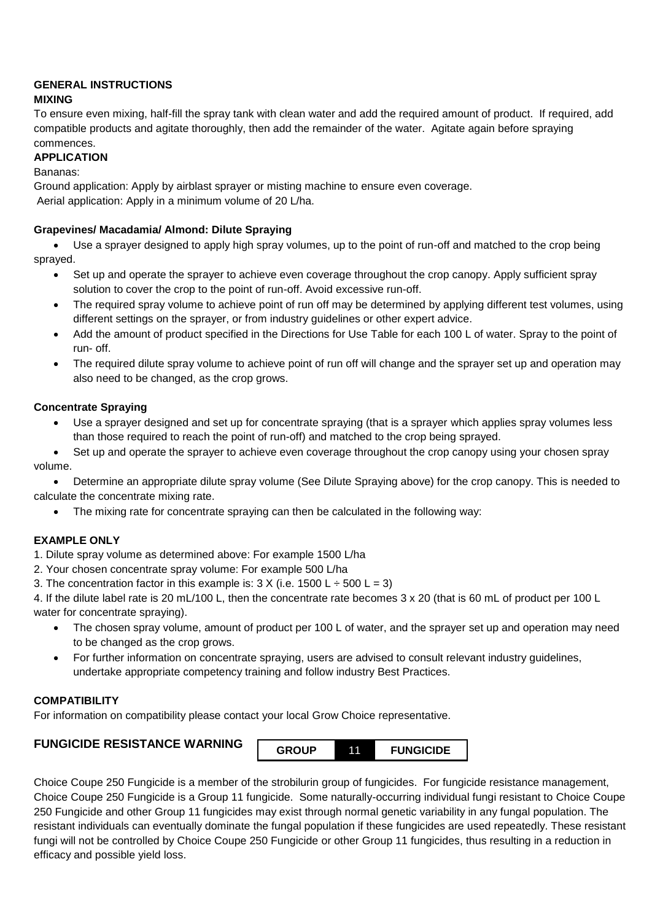# **GENERAL INSTRUCTIONS**

**MIXING**

To ensure even mixing, half-fill the spray tank with clean water and add the required amount of product. If required, add compatible products and agitate thoroughly, then add the remainder of the water. Agitate again before spraying commences.

# **APPLICATION**

Bananas:

Ground application: Apply by airblast sprayer or misting machine to ensure even coverage. Aerial application: Apply in a minimum volume of 20 L/ha.

# **Grapevines/ Macadamia/ Almond: Dilute Spraying**

• Use a sprayer designed to apply high spray volumes, up to the point of run-off and matched to the crop being sprayed.

- Set up and operate the sprayer to achieve even coverage throughout the crop canopy. Apply sufficient spray solution to cover the crop to the point of run-off. Avoid excessive run-off.
- The required spray volume to achieve point of run off may be determined by applying different test volumes, using different settings on the sprayer, or from industry guidelines or other expert advice.
- Add the amount of product specified in the Directions for Use Table for each 100 L of water. Spray to the point of run- off.
- The required dilute spray volume to achieve point of run off will change and the sprayer set up and operation may also need to be changed, as the crop grows.

# **Concentrate Spraying**

• Use a sprayer designed and set up for concentrate spraying (that is a sprayer which applies spray volumes less than those required to reach the point of run-off) and matched to the crop being sprayed.

• Set up and operate the sprayer to achieve even coverage throughout the crop canopy using your chosen spray volume.

• Determine an appropriate dilute spray volume (See Dilute Spraying above) for the crop canopy. This is needed to calculate the concentrate mixing rate.

• The mixing rate for concentrate spraying can then be calculated in the following way:

# **EXAMPLE ONLY**

1. Dilute spray volume as determined above: For example 1500 L/ha

- 2. Your chosen concentrate spray volume: For example 500 L/ha
- 3. The concentration factor in this example is:  $3 \times (i.e. 1500 \text{ L} \div 500 \text{ L} = 3)$

4. If the dilute label rate is 20 mL/100 L, then the concentrate rate becomes 3 x 20 (that is 60 mL of product per 100 L water for concentrate spraying).

- The chosen spray volume, amount of product per 100 L of water, and the sprayer set up and operation may need to be changed as the crop grows.
- For further information on concentrate spraying, users are advised to consult relevant industry guidelines, undertake appropriate competency training and follow industry Best Practices.

# **COMPATIBILITY**

For information on compatibility please contact your local Grow Choice representative.

# **FUNGICIDE RESISTANCE WARNING**



Choice Coupe 250 Fungicide is a member of the strobilurin group of fungicides. For fungicide resistance management, Choice Coupe 250 Fungicide is a Group 11 fungicide. Some naturally-occurring individual fungi resistant to Choice Coupe 250 Fungicide and other Group 11 fungicides may exist through normal genetic variability in any fungal population. The resistant individuals can eventually dominate the fungal population if these fungicides are used repeatedly. These resistant fungi will not be controlled by Choice Coupe 250 Fungicide or other Group 11 fungicides, thus resulting in a reduction in efficacy and possible yield loss.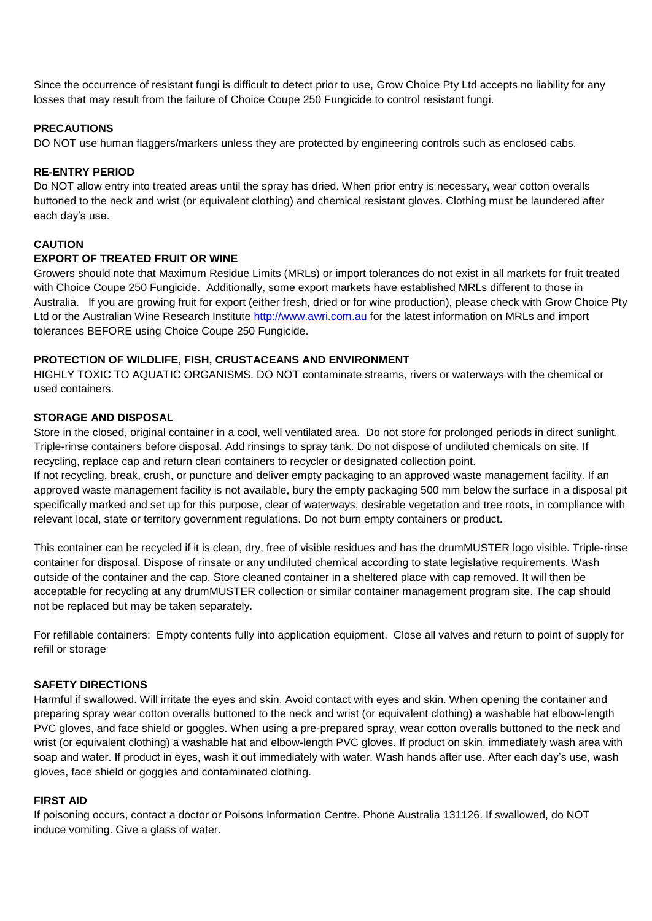Since the occurrence of resistant fungi is difficult to detect prior to use, Grow Choice Pty Ltd accepts no liability for any losses that may result from the failure of Choice Coupe 250 Fungicide to control resistant fungi.

#### **PRECAUTIONS**

DO NOT use human flaggers/markers unless they are protected by engineering controls such as enclosed cabs.

#### **RE-ENTRY PERIOD**

Do NOT allow entry into treated areas until the spray has dried. When prior entry is necessary, wear cotton overalls buttoned to the neck and wrist (or equivalent clothing) and chemical resistant gloves. Clothing must be laundered after each day's use.

## **CAUTION**

## **EXPORT OF TREATED FRUIT OR WINE**

Growers should note that Maximum Residue Limits (MRLs) or import tolerances do not exist in all markets for fruit treated with Choice Coupe 250 Fungicide. Additionally, some export markets have established MRLs different to those in Australia. If you are growing fruit for export (either fresh, dried or for wine production), please check with Grow Choice Pty Ltd or the Australian Wine Research Institute [http://www.awri.com.au f](http://www.awri.com.au/)or the latest information on MRLs and import tolerances BEFORE using Choice Coupe 250 Fungicide.

## **PROTECTION OF WILDLIFE, FISH, CRUSTACEANS AND ENVIRONMENT**

HIGHLY TOXIC TO AQUATIC ORGANISMS. DO NOT contaminate streams, rivers or waterways with the chemical or used containers.

## **STORAGE AND DISPOSAL**

Store in the closed, original container in a cool, well ventilated area. Do not store for prolonged periods in direct sunlight. Triple-rinse containers before disposal. Add rinsings to spray tank. Do not dispose of undiluted chemicals on site. If recycling, replace cap and return clean containers to recycler or designated collection point.

If not recycling, break, crush, or puncture and deliver empty packaging to an approved waste management facility. If an approved waste management facility is not available, bury the empty packaging 500 mm below the surface in a disposal pit specifically marked and set up for this purpose, clear of waterways, desirable vegetation and tree roots, in compliance with relevant local, state or territory government regulations. Do not burn empty containers or product.

This container can be recycled if it is clean, dry, free of visible residues and has the drumMUSTER logo visible. Triple-rinse container for disposal. Dispose of rinsate or any undiluted chemical according to state legislative requirements. Wash outside of the container and the cap. Store cleaned container in a sheltered place with cap removed. It will then be acceptable for recycling at any drumMUSTER collection or similar container management program site. The cap should not be replaced but may be taken separately.

For refillable containers: Empty contents fully into application equipment. Close all valves and return to point of supply for refill or storage

# **SAFETY DIRECTIONS**

Harmful if swallowed. Will irritate the eyes and skin. Avoid contact with eyes and skin. When opening the container and preparing spray wear cotton overalls buttoned to the neck and wrist (or equivalent clothing) a washable hat elbow-length PVC gloves, and face shield or goggles. When using a pre-prepared spray, wear cotton overalls buttoned to the neck and wrist (or equivalent clothing) a washable hat and elbow-length PVC gloves. If product on skin, immediately wash area with soap and water. If product in eyes, wash it out immediately with water. Wash hands after use. After each day's use, wash gloves, face shield or goggles and contaminated clothing.

#### **FIRST AID**

If poisoning occurs, contact a doctor or Poisons Information Centre. Phone Australia 131126. If swallowed, do NOT induce vomiting. Give a glass of water.